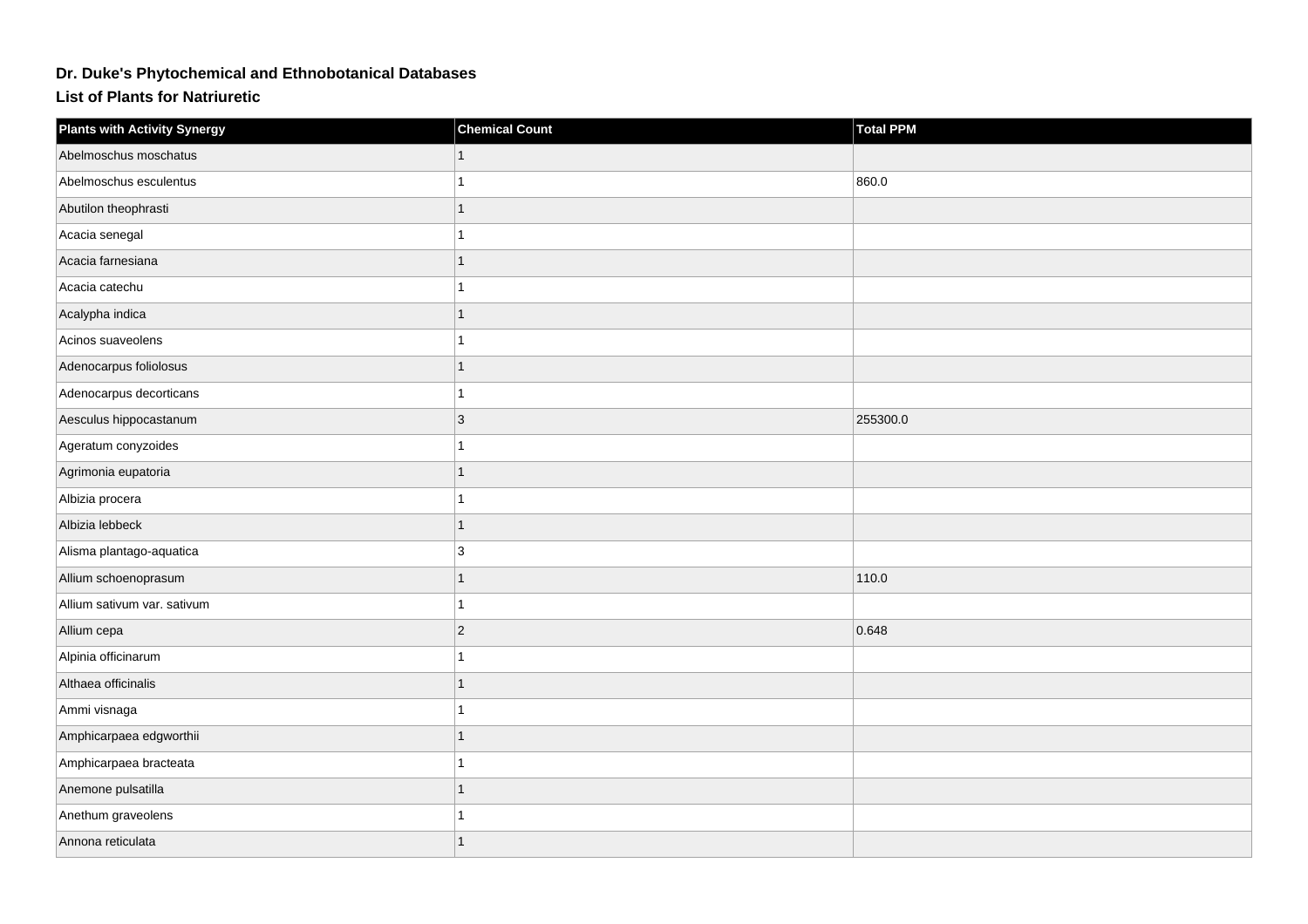## **Dr. Duke's Phytochemical and Ethnobotanical Databases**

**List of Plants for Natriuretic**

| <b>Plants with Activity Synergy</b> | <b>Chemical Count</b> | Total PPM |
|-------------------------------------|-----------------------|-----------|
| Abelmoschus moschatus               |                       |           |
| Abelmoschus esculentus              | 1                     | 860.0     |
| Abutilon theophrasti                | 1                     |           |
| Acacia senegal                      | 1                     |           |
| Acacia farnesiana                   | $\overline{1}$        |           |
| Acacia catechu                      | 1                     |           |
| Acalypha indica                     | 1                     |           |
| Acinos suaveolens                   | 1                     |           |
| Adenocarpus foliolosus              | 1                     |           |
| Adenocarpus decorticans             | 1                     |           |
| Aesculus hippocastanum              | 3                     | 255300.0  |
| Ageratum conyzoides                 | 1                     |           |
| Agrimonia eupatoria                 | 1                     |           |
| Albizia procera                     | 1                     |           |
| Albizia lebbeck                     | 1                     |           |
| Alisma plantago-aquatica            | 3                     |           |
| Allium schoenoprasum                | 1                     | 110.0     |
| Allium sativum var. sativum         | 1                     |           |
| Allium cepa                         | $\vert$ 2             | 0.648     |
| Alpinia officinarum                 | 1                     |           |
| Althaea officinalis                 | 1                     |           |
| Ammi visnaga                        | $\mathbf{1}$          |           |
| Amphicarpaea edgworthii             | 1                     |           |
| Amphicarpaea bracteata              | 1                     |           |
| Anemone pulsatilla                  | 1                     |           |
| Anethum graveolens                  | 1                     |           |
| Annona reticulata                   |                       |           |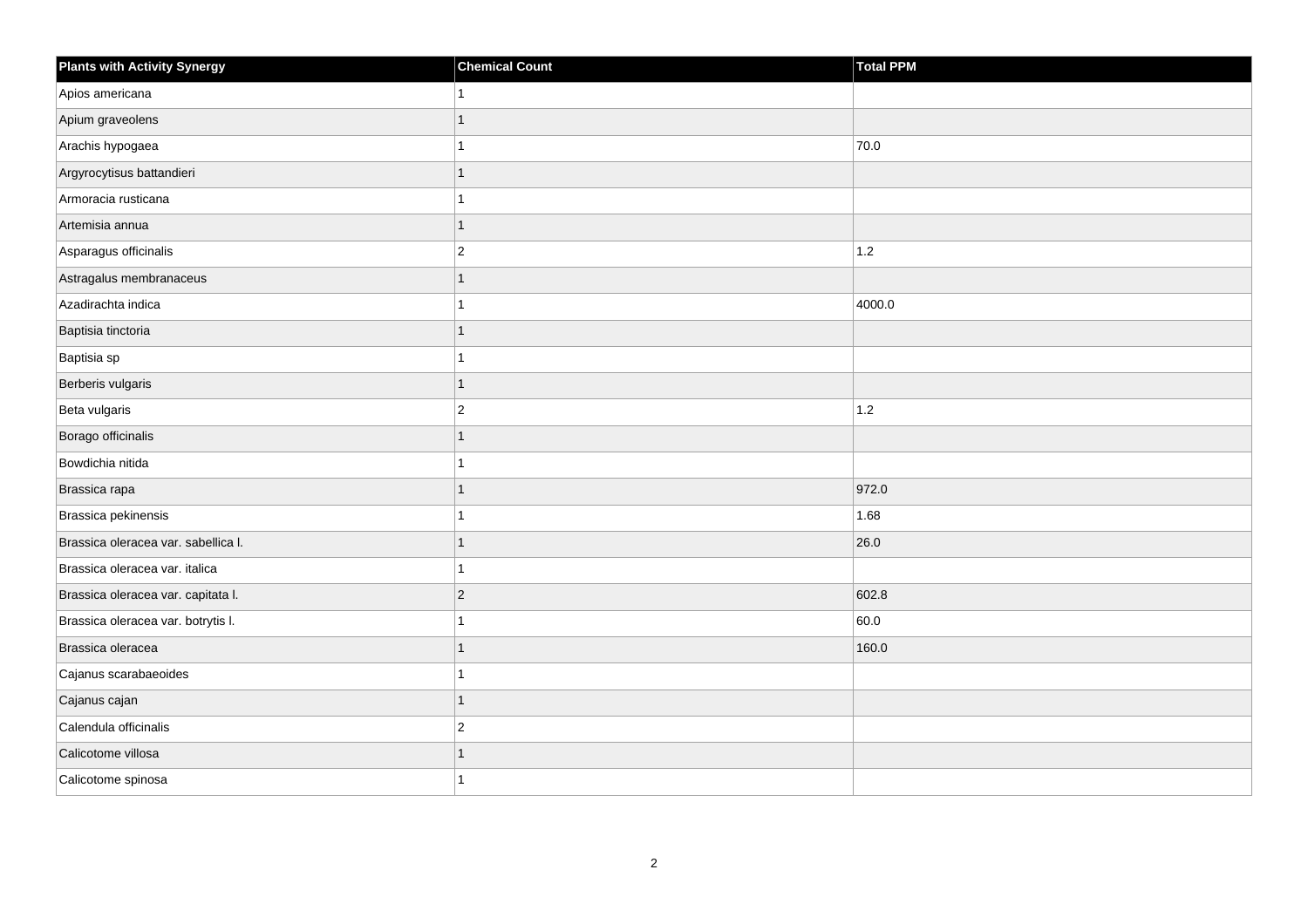| <b>Plants with Activity Synergy</b> | <b>Chemical Count</b> | Total PPM |
|-------------------------------------|-----------------------|-----------|
| Apios americana                     |                       |           |
| Apium graveolens                    | 1                     |           |
| Arachis hypogaea                    | 1                     | 70.0      |
| Argyrocytisus battandieri           | 1                     |           |
| Armoracia rusticana                 | 1                     |           |
| Artemisia annua                     | 1                     |           |
| Asparagus officinalis               | $\overline{2}$        | $1.2$     |
| Astragalus membranaceus             | 1                     |           |
| Azadirachta indica                  | 1                     | 4000.0    |
| Baptisia tinctoria                  | 1                     |           |
| Baptisia sp                         | 1                     |           |
| Berberis vulgaris                   | $\overline{1}$        |           |
| Beta vulgaris                       | $\overline{2}$        | $1.2$     |
| Borago officinalis                  | 1                     |           |
| Bowdichia nitida                    | 1                     |           |
| Brassica rapa                       | 1                     | 972.0     |
| Brassica pekinensis                 |                       | 1.68      |
| Brassica oleracea var. sabellica I. | 1                     | 26.0      |
| Brassica oleracea var. italica      | 1                     |           |
| Brassica oleracea var. capitata I.  | $ 2\rangle$           | 602.8     |
| Brassica oleracea var. botrytis I.  | 1                     | 60.0      |
| Brassica oleracea                   | 1                     | 160.0     |
| Cajanus scarabaeoides               |                       |           |
| Cajanus cajan                       | 1                     |           |
| Calendula officinalis               | $\vert$ 2             |           |
| Calicotome villosa                  | 1                     |           |
| Calicotome spinosa                  | 1                     |           |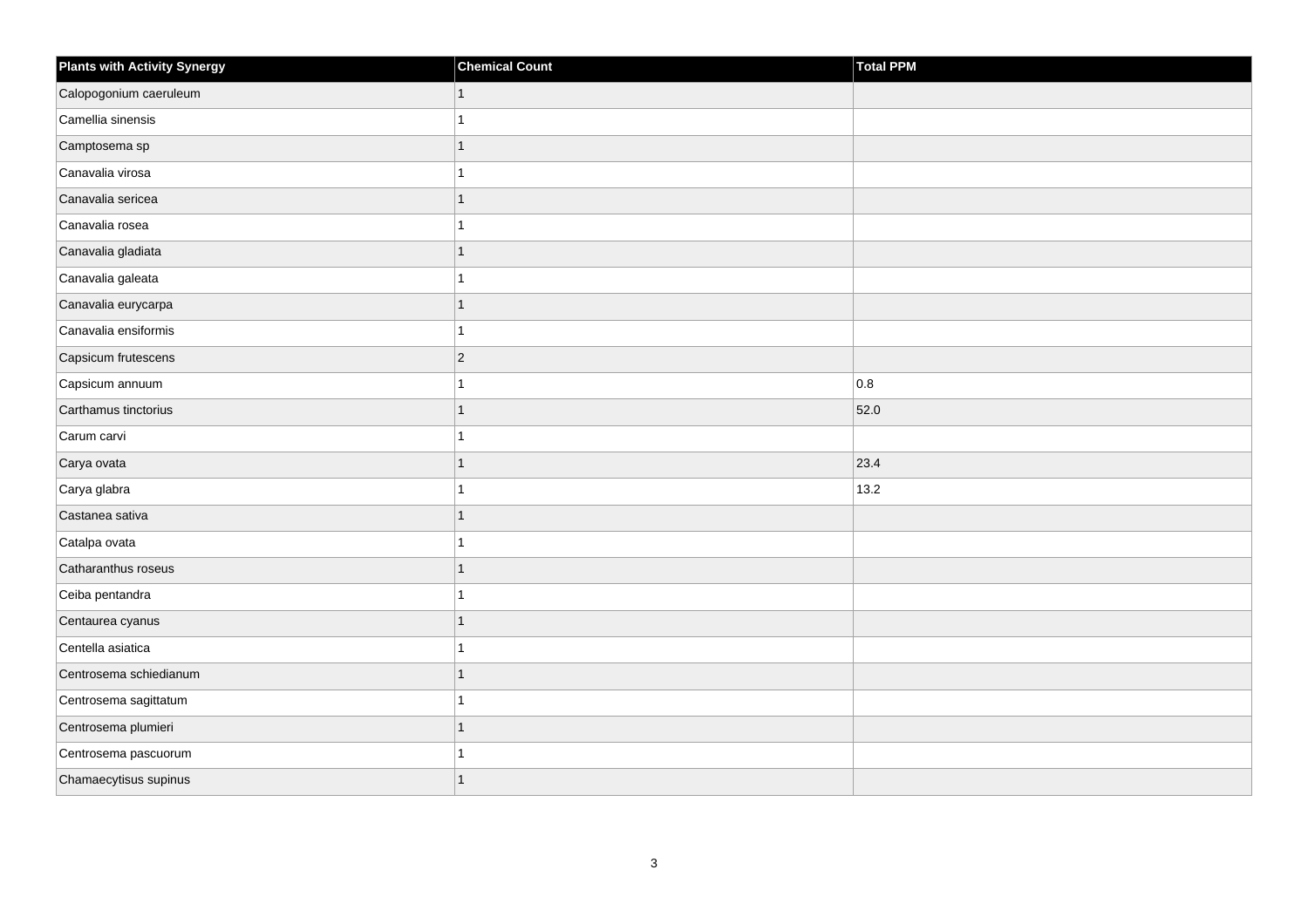| <b>Plants with Activity Synergy</b> | <b>Chemical Count</b> | Total PPM |
|-------------------------------------|-----------------------|-----------|
| Calopogonium caeruleum              | 1                     |           |
| Camellia sinensis                   |                       |           |
| Camptosema sp                       | 1                     |           |
| Canavalia virosa                    | 1                     |           |
| Canavalia sericea                   | 1                     |           |
| Canavalia rosea                     | 1                     |           |
| Canavalia gladiata                  | 1                     |           |
| Canavalia galeata                   | 1                     |           |
| Canavalia eurycarpa                 | 1                     |           |
| Canavalia ensiformis                | 1                     |           |
| Capsicum frutescens                 | $ 2\rangle$           |           |
| Capsicum annuum                     | 1                     | 0.8       |
| Carthamus tinctorius                | 1                     | 52.0      |
| Carum carvi                         | 1                     |           |
| Carya ovata                         | 1                     | 23.4      |
| Carya glabra                        | 1                     | 13.2      |
| Castanea sativa                     | 1                     |           |
| Catalpa ovata                       |                       |           |
| Catharanthus roseus                 | 1                     |           |
| Ceiba pentandra                     | 1                     |           |
| Centaurea cyanus                    | 1                     |           |
| Centella asiatica                   | 1                     |           |
| Centrosema schiedianum              | 1                     |           |
| Centrosema sagittatum               |                       |           |
| Centrosema plumieri                 | $\overline{1}$        |           |
| Centrosema pascuorum                |                       |           |
| Chamaecytisus supinus               | 1                     |           |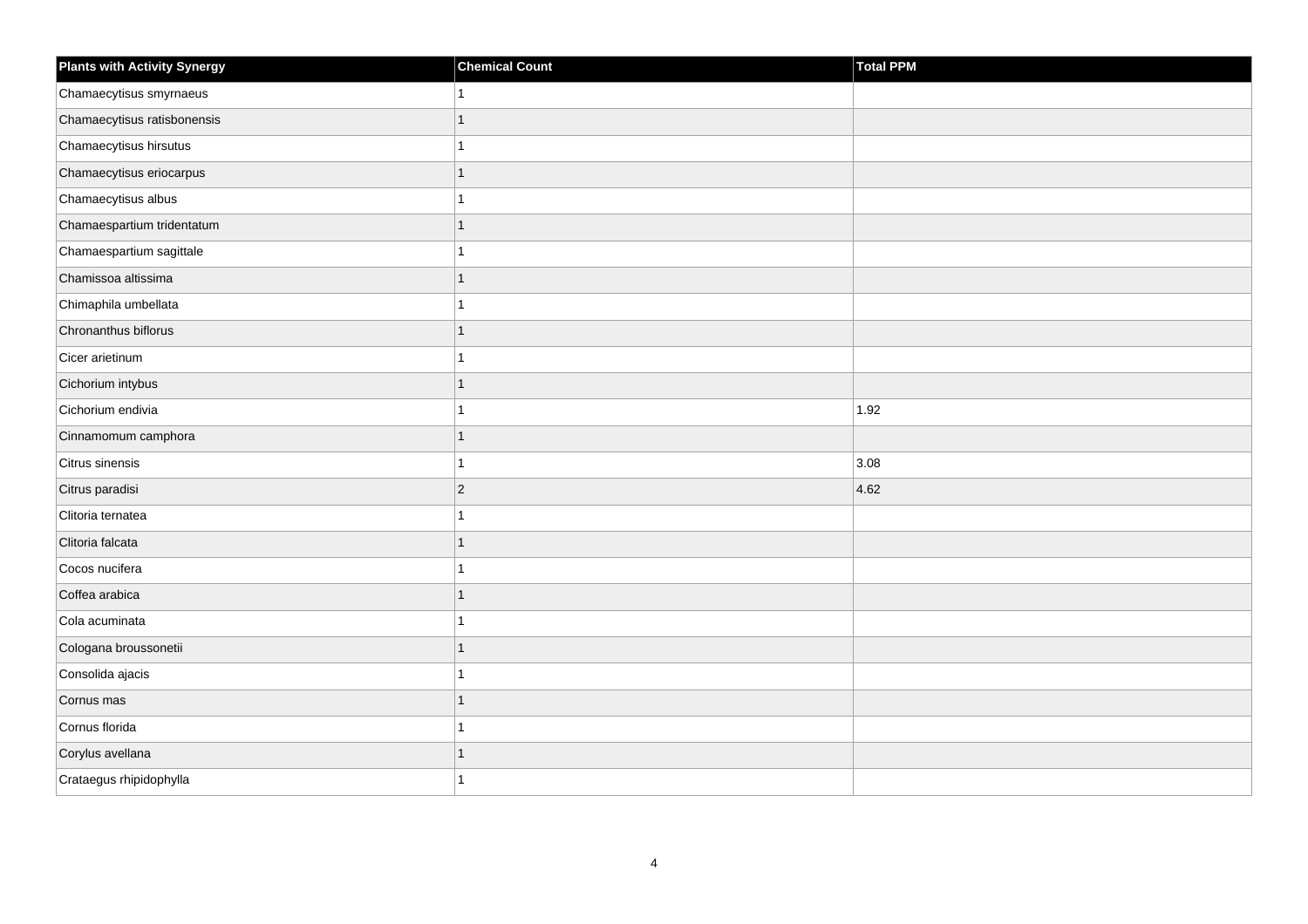| <b>Plants with Activity Synergy</b> | <b>Chemical Count</b> | Total PPM |
|-------------------------------------|-----------------------|-----------|
| Chamaecytisus smyrnaeus             |                       |           |
| Chamaecytisus ratisbonensis         |                       |           |
| Chamaecytisus hirsutus              |                       |           |
| Chamaecytisus eriocarpus            |                       |           |
| Chamaecytisus albus                 |                       |           |
| Chamaespartium tridentatum          |                       |           |
| Chamaespartium sagittale            |                       |           |
| Chamissoa altissima                 | 1                     |           |
| Chimaphila umbellata                |                       |           |
| Chronanthus biflorus                | 1                     |           |
| Cicer arietinum                     |                       |           |
| Cichorium intybus                   |                       |           |
| Cichorium endivia                   |                       | 1.92      |
| Cinnamomum camphora                 | 1                     |           |
| Citrus sinensis                     |                       | 3.08      |
| Citrus paradisi                     | $\overline{2}$        | 4.62      |
| Clitoria ternatea                   |                       |           |
| Clitoria falcata                    |                       |           |
| Cocos nucifera                      |                       |           |
| Coffea arabica                      |                       |           |
| Cola acuminata                      |                       |           |
| Cologana broussonetii               | 1                     |           |
| Consolida ajacis                    |                       |           |
| Cornus mas                          |                       |           |
| Cornus florida                      |                       |           |
| Corylus avellana                    |                       |           |
| Crataegus rhipidophylla             |                       |           |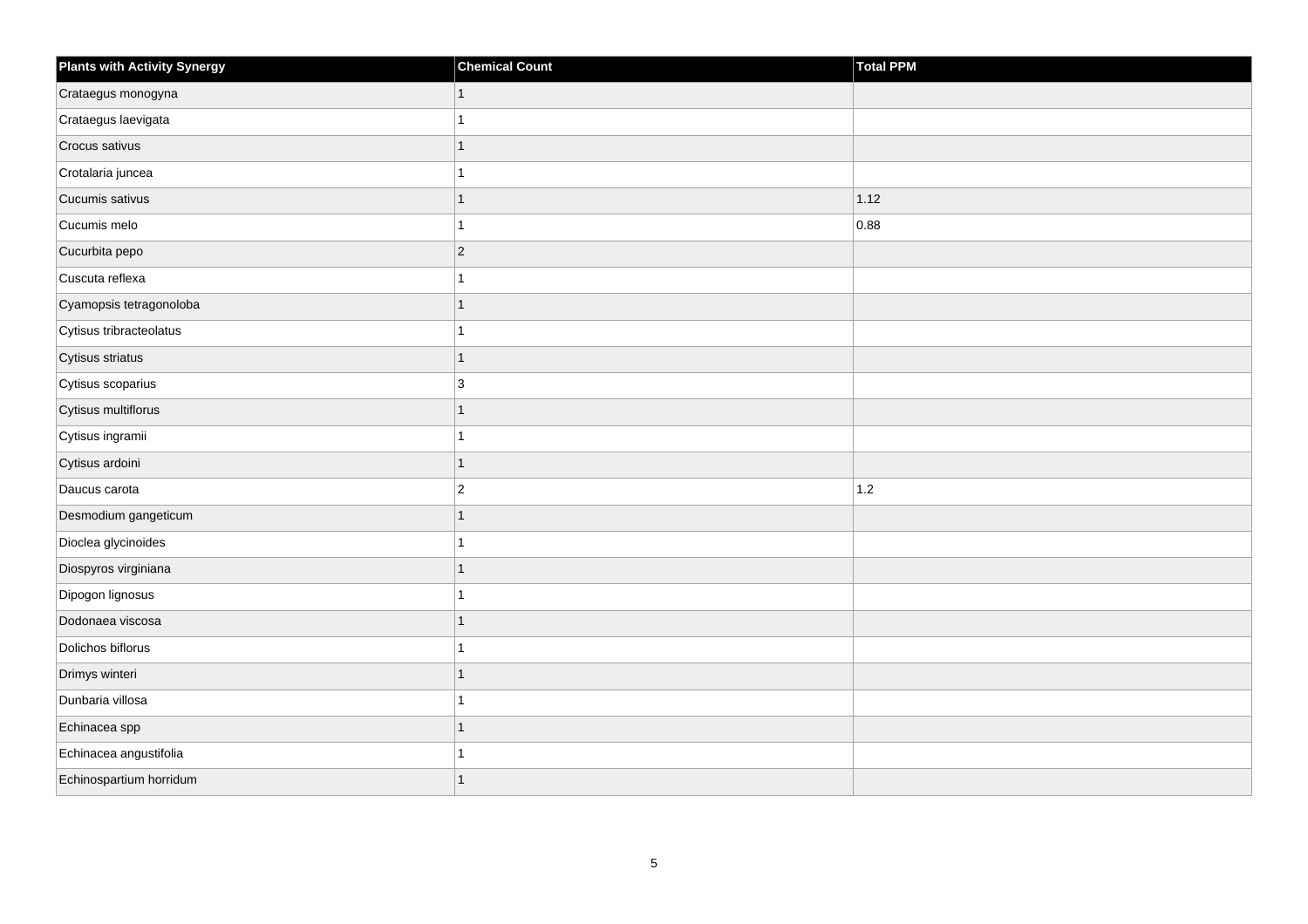| <b>Plants with Activity Synergy</b> | <b>Chemical Count</b> | Total PPM |
|-------------------------------------|-----------------------|-----------|
| Crataegus monogyna                  |                       |           |
| Crataegus laevigata                 |                       |           |
| Crocus sativus                      |                       |           |
| Crotalaria juncea                   |                       |           |
| Cucumis sativus                     | 1                     | 1.12      |
| Cucumis melo                        |                       | 0.88      |
| Cucurbita pepo                      | $\overline{2}$        |           |
| Cuscuta reflexa                     |                       |           |
| Cyamopsis tetragonoloba             |                       |           |
| Cytisus tribracteolatus             |                       |           |
| Cytisus striatus                    | 1                     |           |
| Cytisus scoparius                   | 3                     |           |
| Cytisus multiflorus                 | 1                     |           |
| Cytisus ingramii                    |                       |           |
| Cytisus ardoini                     | 1                     |           |
| Daucus carota                       | $\overline{2}$        | 1.2       |
| Desmodium gangeticum                |                       |           |
| Dioclea glycinoides                 |                       |           |
| Diospyros virginiana                | 1                     |           |
| Dipogon lignosus                    |                       |           |
| Dodonaea viscosa                    |                       |           |
| Dolichos biflorus                   |                       |           |
| Drimys winteri                      |                       |           |
| Dunbaria villosa                    |                       |           |
| Echinacea spp                       | 1                     |           |
| Echinacea angustifolia              |                       |           |
| Echinospartium horridum             |                       |           |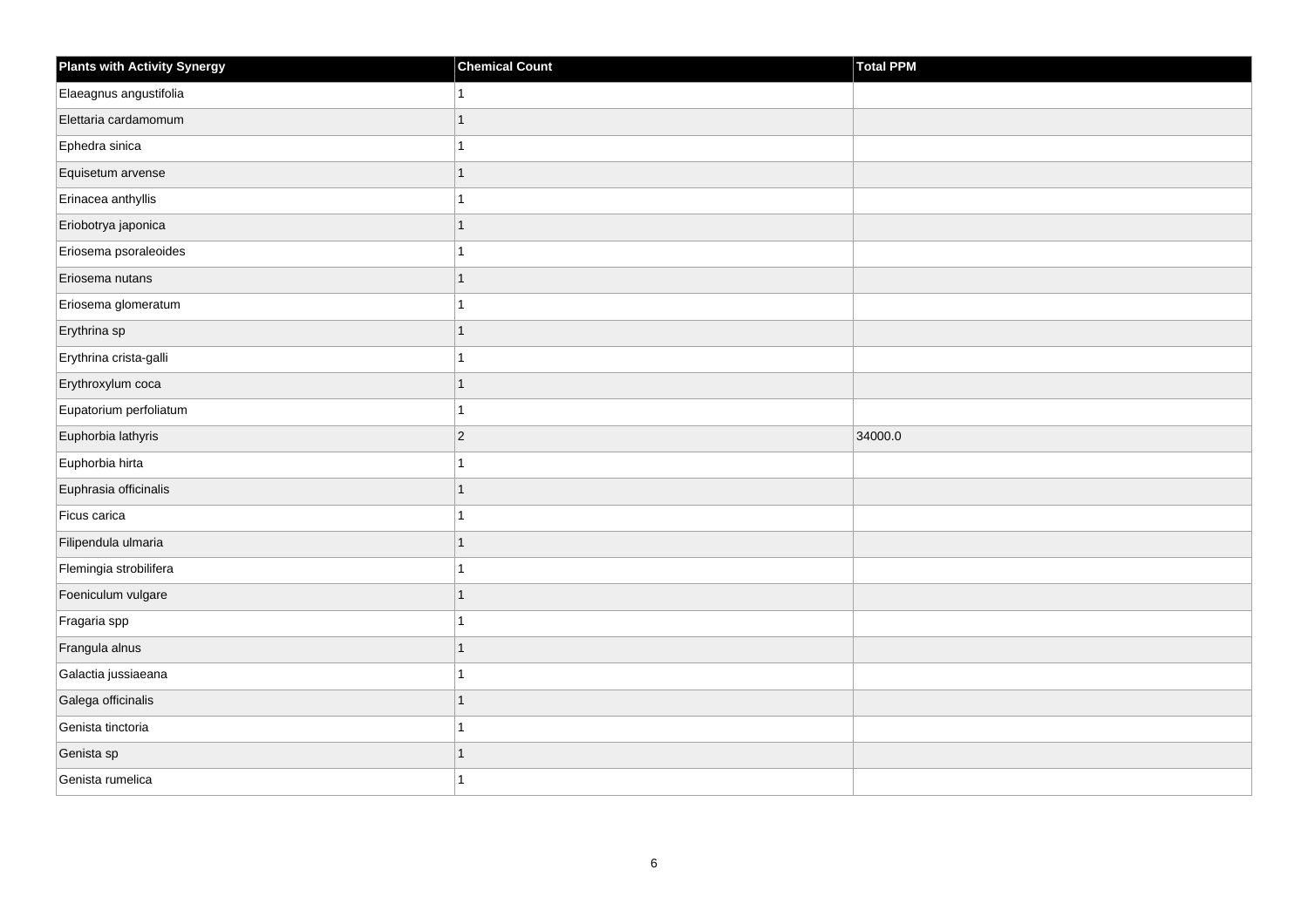| <b>Plants with Activity Synergy</b> | <b>Chemical Count</b> | Total PPM |
|-------------------------------------|-----------------------|-----------|
| Elaeagnus angustifolia              |                       |           |
| Elettaria cardamomum                | 1                     |           |
| Ephedra sinica                      |                       |           |
| Equisetum arvense                   | 1                     |           |
| Erinacea anthyllis                  |                       |           |
| Eriobotrya japonica                 |                       |           |
| Eriosema psoraleoides               |                       |           |
| Eriosema nutans                     | 1                     |           |
| Eriosema glomeratum                 |                       |           |
| Erythrina sp                        | 1                     |           |
| Erythrina crista-galli              |                       |           |
| Erythroxylum coca                   |                       |           |
| Eupatorium perfoliatum              | 1                     |           |
| Euphorbia lathyris                  | $\overline{2}$        | 34000.0   |
| Euphorbia hirta                     |                       |           |
| Euphrasia officinalis               | 1                     |           |
| Ficus carica                        |                       |           |
| Filipendula ulmaria                 |                       |           |
| Flemingia strobilifera              | 1                     |           |
| Foeniculum vulgare                  | 1                     |           |
| Fragaria spp                        |                       |           |
| Frangula alnus                      | 1                     |           |
| Galactia jussiaeana                 |                       |           |
| Galega officinalis                  |                       |           |
| Genista tinctoria                   | 1                     |           |
| Genista sp                          |                       |           |
| Genista rumelica                    |                       |           |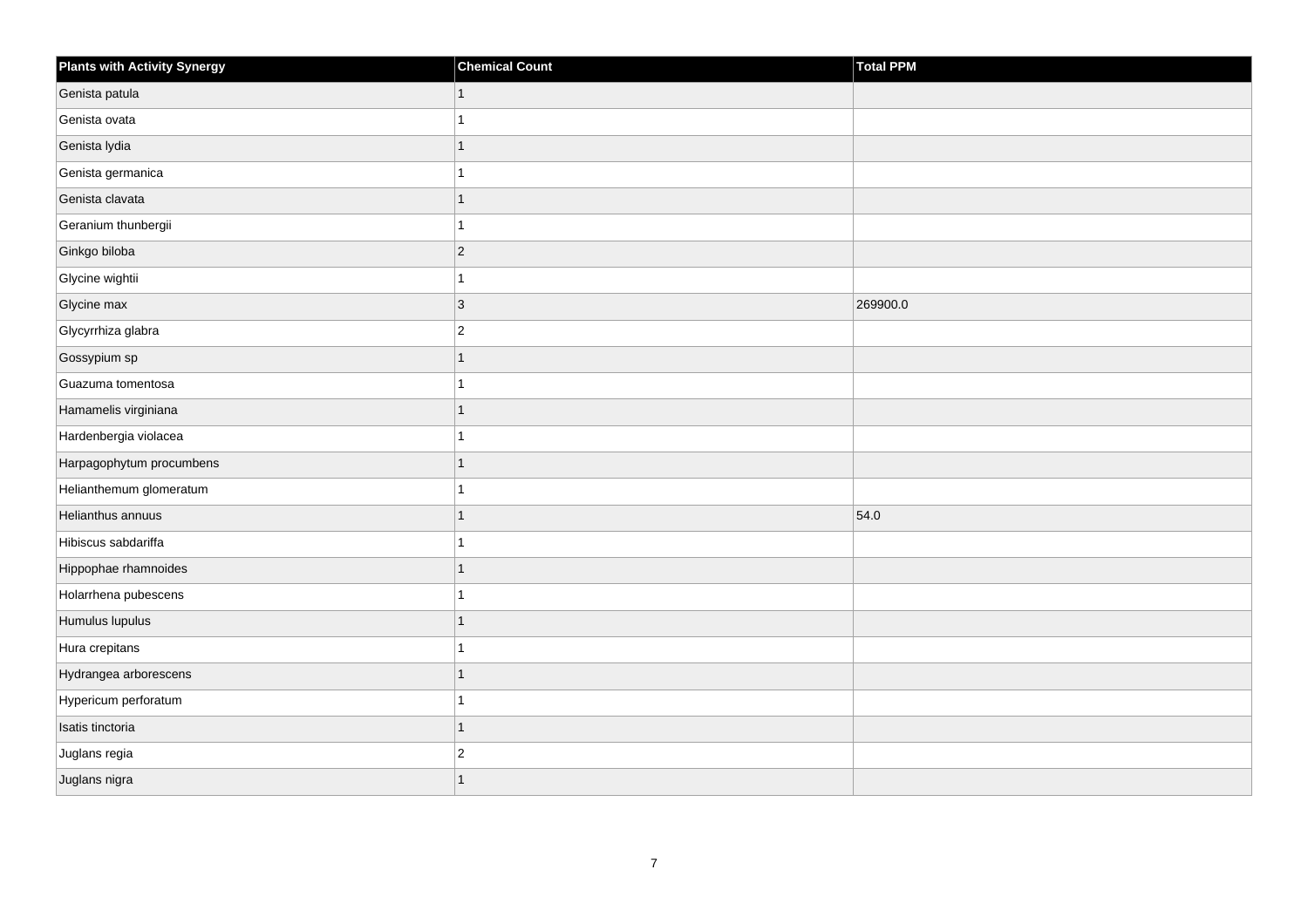| <b>Plants with Activity Synergy</b> | <b>Chemical Count</b> | Total PPM |
|-------------------------------------|-----------------------|-----------|
| Genista patula                      | 1                     |           |
| Genista ovata                       |                       |           |
| Genista lydia                       |                       |           |
| Genista germanica                   |                       |           |
| Genista clavata                     |                       |           |
| Geranium thunbergii                 |                       |           |
| Ginkgo biloba                       | $ 2\rangle$           |           |
| Glycine wightii                     |                       |           |
| Glycine max                         | 3                     | 269900.0  |
| Glycyrrhiza glabra                  | $\vert$ 2             |           |
| Gossypium sp                        |                       |           |
| Guazuma tomentosa                   |                       |           |
| Hamamelis virginiana                |                       |           |
| Hardenbergia violacea               |                       |           |
| Harpagophytum procumbens            |                       |           |
| Helianthemum glomeratum             |                       |           |
| Helianthus annuus                   |                       | 54.0      |
| Hibiscus sabdariffa                 |                       |           |
| Hippophae rhamnoides                |                       |           |
| Holarrhena pubescens                |                       |           |
| Humulus lupulus                     |                       |           |
| Hura crepitans                      |                       |           |
| Hydrangea arborescens               |                       |           |
| Hypericum perforatum                |                       |           |
| Isatis tinctoria                    |                       |           |
| Juglans regia                       | $\overline{c}$        |           |
| Juglans nigra                       |                       |           |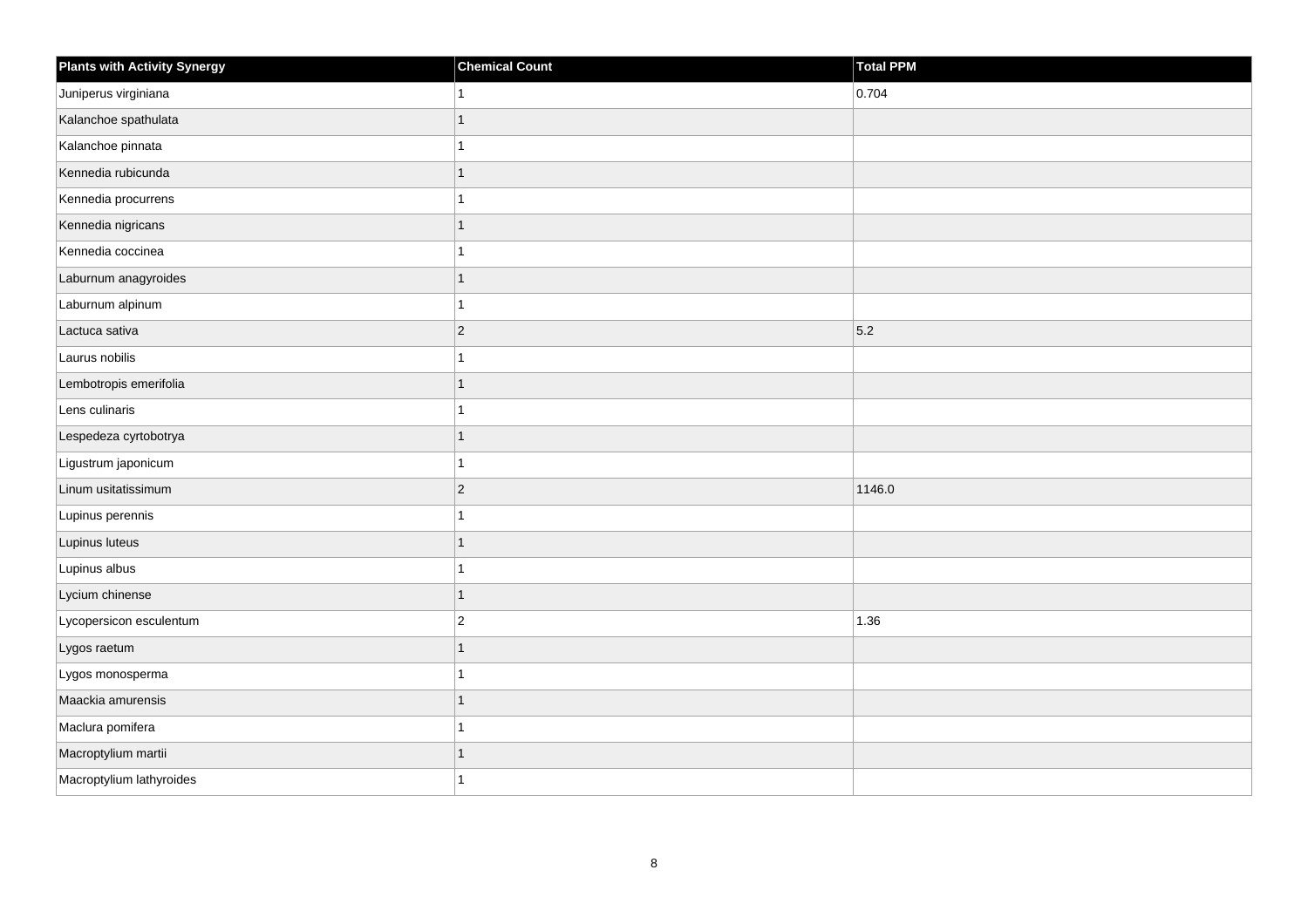| <b>Plants with Activity Synergy</b> | <b>Chemical Count</b> | Total PPM |
|-------------------------------------|-----------------------|-----------|
| Juniperus virginiana                |                       | 0.704     |
| Kalanchoe spathulata                |                       |           |
| Kalanchoe pinnata                   |                       |           |
| Kennedia rubicunda                  | 1                     |           |
| Kennedia procurrens                 |                       |           |
| Kennedia nigricans                  | 1                     |           |
| Kennedia coccinea                   |                       |           |
| Laburnum anagyroides                | 1                     |           |
| Laburnum alpinum                    |                       |           |
| Lactuca sativa                      | $\overline{2}$        | 5.2       |
| Laurus nobilis                      |                       |           |
| Lembotropis emerifolia              |                       |           |
| Lens culinaris                      | 1                     |           |
| Lespedeza cyrtobotrya               | 1                     |           |
| Ligustrum japonicum                 |                       |           |
| Linum usitatissimum                 | $\overline{2}$        | 1146.0    |
| Lupinus perennis                    |                       |           |
| Lupinus luteus                      |                       |           |
| Lupinus albus                       | 1                     |           |
| Lycium chinense                     | 1                     |           |
| Lycopersicon esculentum             | $\overline{2}$        | 1.36      |
| Lygos raetum                        | $\overline{1}$        |           |
| Lygos monosperma                    |                       |           |
| Maackia amurensis                   |                       |           |
| Maclura pomifera                    | 1                     |           |
| Macroptylium martii                 |                       |           |
| Macroptylium lathyroides            |                       |           |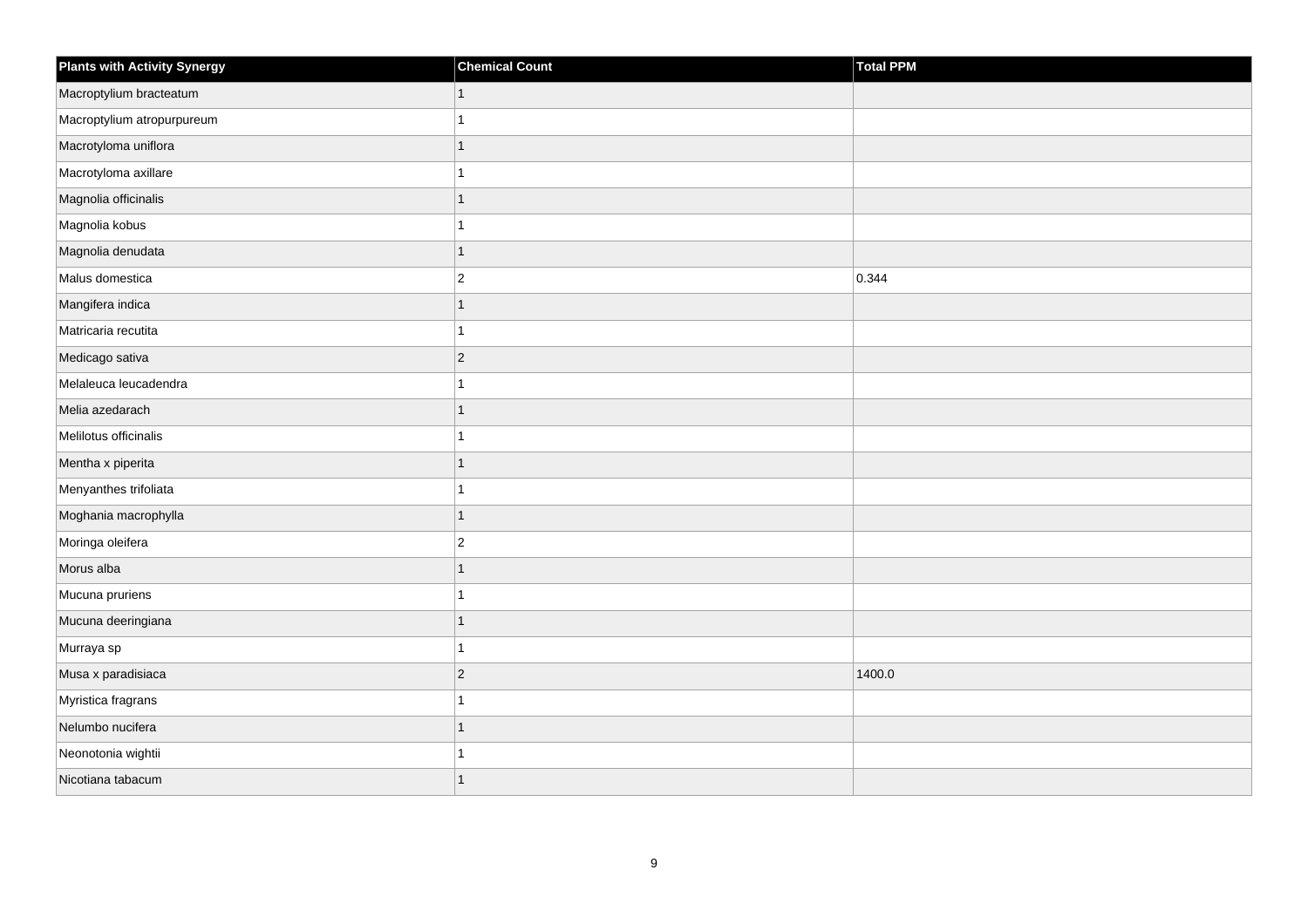| <b>Plants with Activity Synergy</b> | <b>Chemical Count</b> | Total PPM |
|-------------------------------------|-----------------------|-----------|
| Macroptylium bracteatum             |                       |           |
| Macroptylium atropurpureum          |                       |           |
| Macrotyloma uniflora                |                       |           |
| Macrotyloma axillare                |                       |           |
| Magnolia officinalis                | 1                     |           |
| Magnolia kobus                      |                       |           |
| Magnolia denudata                   | 1                     |           |
| Malus domestica                     | $\overline{2}$        | 0.344     |
| Mangifera indica                    |                       |           |
| Matricaria recutita                 |                       |           |
| Medicago sativa                     | $\overline{2}$        |           |
| Melaleuca leucadendra               |                       |           |
| Melia azedarach                     | 1                     |           |
| Melilotus officinalis               |                       |           |
| Mentha x piperita                   |                       |           |
| Menyanthes trifoliata               |                       |           |
| Moghania macrophylla                | 1                     |           |
| Moringa oleifera                    | $\overline{c}$        |           |
| Morus alba                          | $\overline{1}$        |           |
| Mucuna pruriens                     |                       |           |
| Mucuna deeringiana                  |                       |           |
| Murraya sp                          | 1                     |           |
| Musa x paradisiaca                  | $\overline{2}$        | 1400.0    |
| Myristica fragrans                  |                       |           |
| Nelumbo nucifera                    | 1                     |           |
| Neonotonia wightii                  |                       |           |
| Nicotiana tabacum                   |                       |           |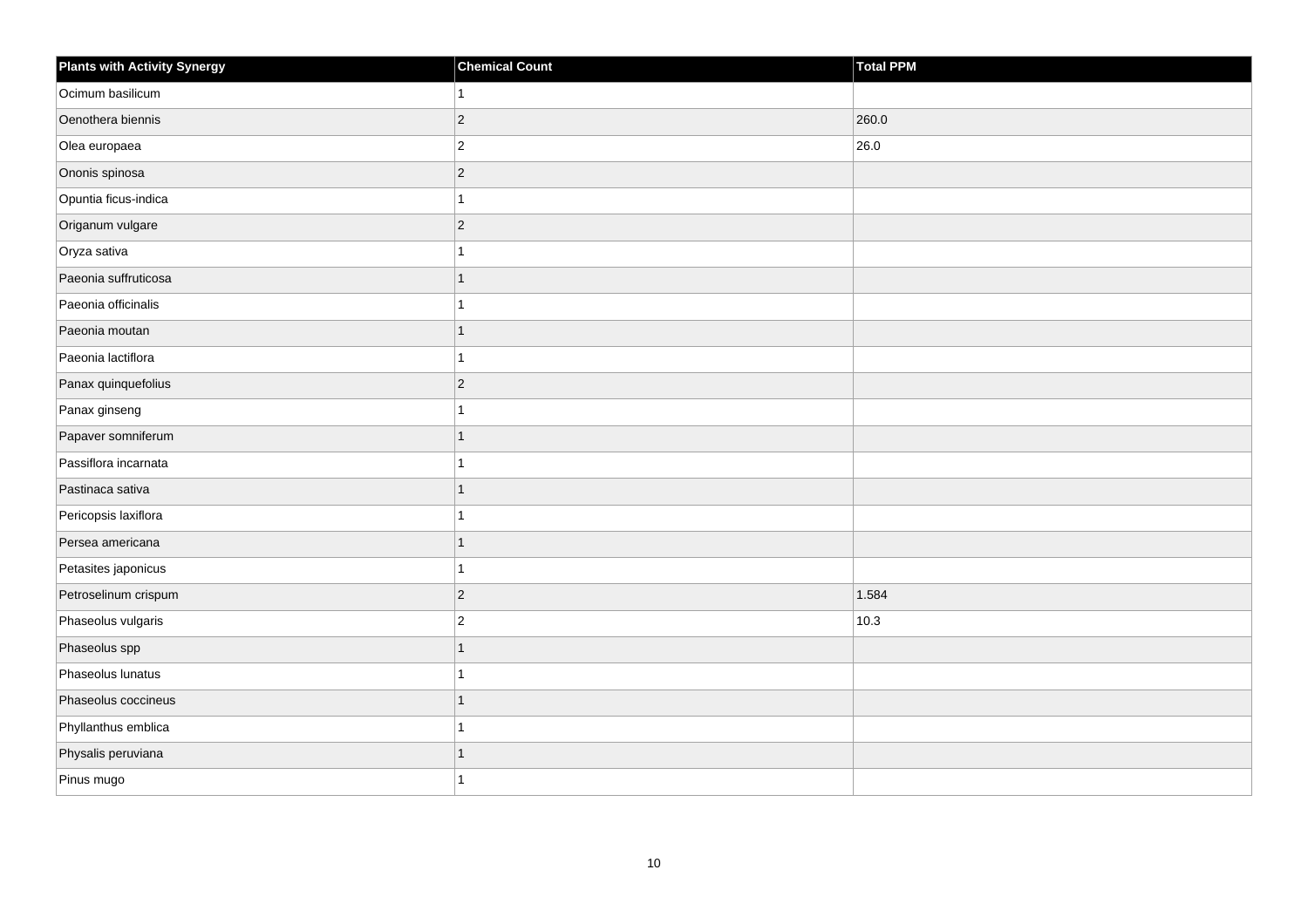| <b>Plants with Activity Synergy</b> | <b>Chemical Count</b> | Total PPM |
|-------------------------------------|-----------------------|-----------|
| Ocimum basilicum                    |                       |           |
| Oenothera biennis                   | $\overline{2}$        | 260.0     |
| Olea europaea                       | $\overline{c}$        | 26.0      |
| Ononis spinosa                      | $\overline{2}$        |           |
| Opuntia ficus-indica                |                       |           |
| Origanum vulgare                    | $\overline{2}$        |           |
| Oryza sativa                        |                       |           |
| Paeonia suffruticosa                |                       |           |
| Paeonia officinalis                 |                       |           |
| Paeonia moutan                      | 1                     |           |
| Paeonia lactiflora                  |                       |           |
| Panax quinquefolius                 | $\vert$ 2             |           |
| Panax ginseng                       |                       |           |
| Papaver somniferum                  | 1                     |           |
| Passiflora incarnata                |                       |           |
| Pastinaca sativa                    | 1                     |           |
| Pericopsis laxiflora                |                       |           |
| Persea americana                    |                       |           |
| Petasites japonicus                 | 1                     |           |
| Petroselinum crispum                | $\overline{2}$        | 1.584     |
| Phaseolus vulgaris                  | $\overline{a}$        | 10.3      |
| Phaseolus spp                       | $\overline{1}$        |           |
| Phaseolus lunatus                   |                       |           |
| Phaseolus coccineus                 |                       |           |
| Phyllanthus emblica                 | 1                     |           |
| Physalis peruviana                  | 1                     |           |
| Pinus mugo                          |                       |           |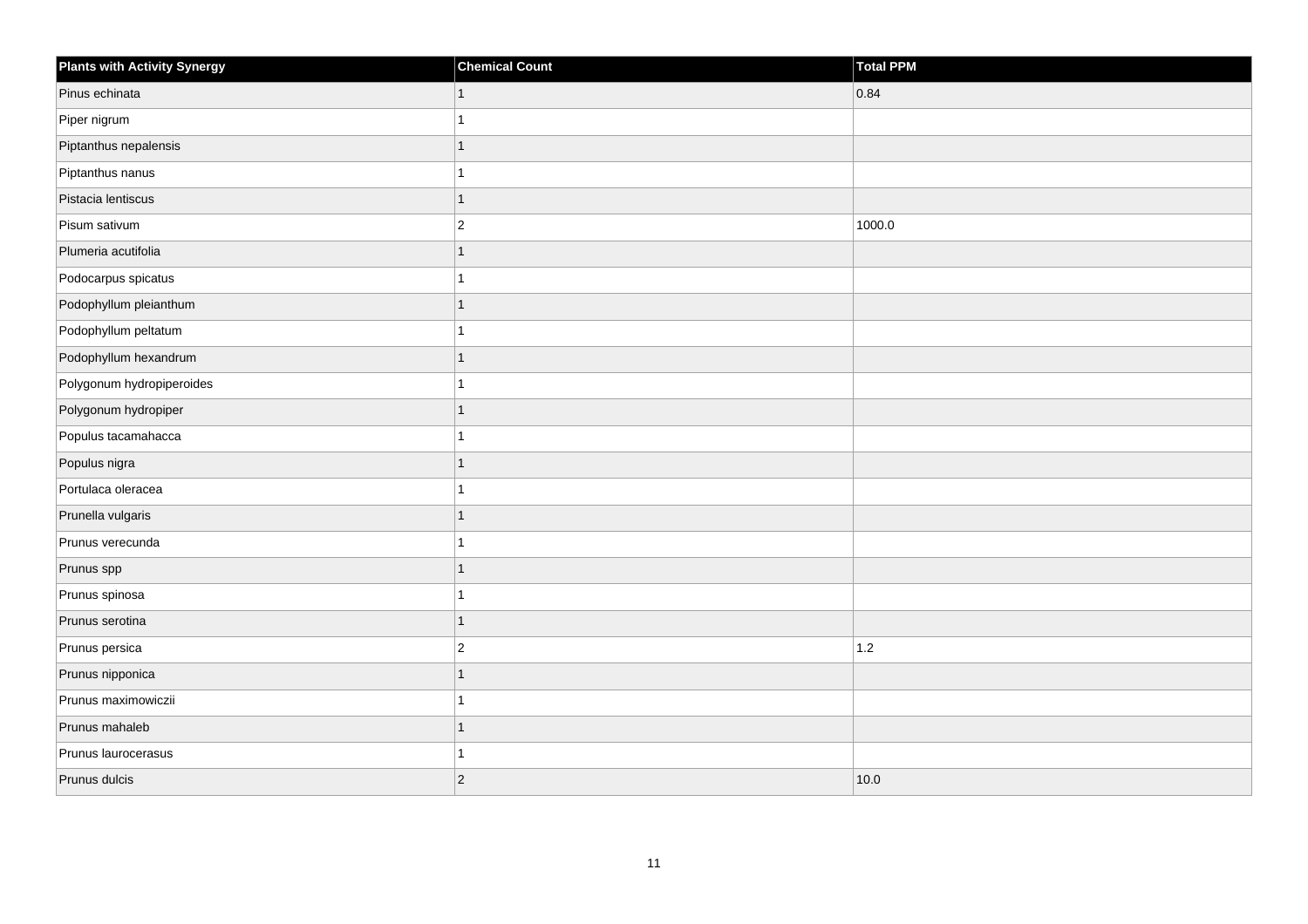| <b>Plants with Activity Synergy</b> | <b>Chemical Count</b> | Total PPM |
|-------------------------------------|-----------------------|-----------|
| Pinus echinata                      | 1                     | 0.84      |
| Piper nigrum                        |                       |           |
| Piptanthus nepalensis               |                       |           |
| Piptanthus nanus                    |                       |           |
| Pistacia lentiscus                  | 1                     |           |
| Pisum sativum                       | $\overline{c}$        | 1000.0    |
| Plumeria acutifolia                 | 1                     |           |
| Podocarpus spicatus                 |                       |           |
| Podophyllum pleianthum              |                       |           |
| Podophyllum peltatum                |                       |           |
| Podophyllum hexandrum               |                       |           |
| Polygonum hydropiperoides           |                       |           |
| Polygonum hydropiper                | 1                     |           |
| Populus tacamahacca                 |                       |           |
| Populus nigra                       |                       |           |
| Portulaca oleracea                  |                       |           |
| Prunella vulgaris                   |                       |           |
| Prunus verecunda                    |                       |           |
| Prunus spp                          | 1                     |           |
| Prunus spinosa                      |                       |           |
| Prunus serotina                     | 1                     |           |
| Prunus persica                      | $\overline{2}$        | 1.2       |
| Prunus nipponica                    |                       |           |
| Prunus maximowiczii                 |                       |           |
| Prunus mahaleb                      | 1                     |           |
| Prunus laurocerasus                 |                       |           |
| Prunus dulcis                       | $\overline{2}$        | 10.0      |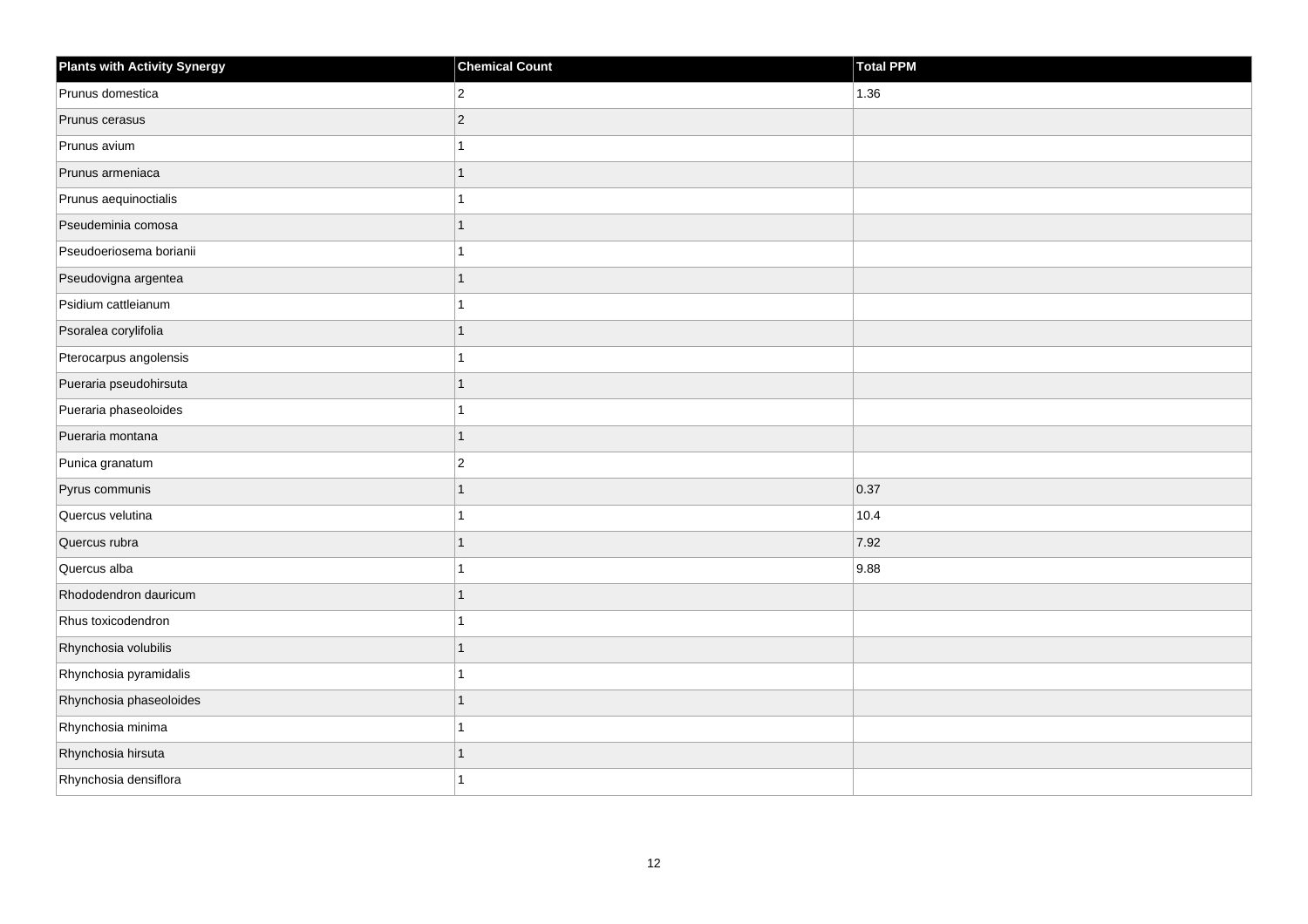| <b>Plants with Activity Synergy</b> | <b>Chemical Count</b> | Total PPM    |
|-------------------------------------|-----------------------|--------------|
| Prunus domestica                    | $\overline{2}$        | 1.36         |
| Prunus cerasus                      | $\overline{2}$        |              |
| Prunus avium                        |                       |              |
| Prunus armeniaca                    |                       |              |
| Prunus aequinoctialis               |                       |              |
| Pseudeminia comosa                  |                       |              |
| Pseudoeriosema borianii             |                       |              |
| Pseudovigna argentea                | 1                     |              |
| Psidium cattleianum                 |                       |              |
| Psoralea corylifolia                | 1                     |              |
| Pterocarpus angolensis              |                       |              |
| Pueraria pseudohirsuta              |                       |              |
| Pueraria phaseoloides               |                       |              |
| Pueraria montana                    | 1                     |              |
| Punica granatum                     | $\overline{2}$        |              |
| Pyrus communis                      | 1                     | $\vert$ 0.37 |
| Quercus velutina                    |                       | 10.4         |
| Quercus rubra                       |                       | 7.92         |
| Quercus alba                        |                       | 9.88         |
| Rhododendron dauricum               |                       |              |
| Rhus toxicodendron                  |                       |              |
| Rhynchosia volubilis                | 1                     |              |
| Rhynchosia pyramidalis              |                       |              |
| Rhynchosia phaseoloides             |                       |              |
| Rhynchosia minima                   |                       |              |
| Rhynchosia hirsuta                  |                       |              |
| Rhynchosia densiflora               |                       |              |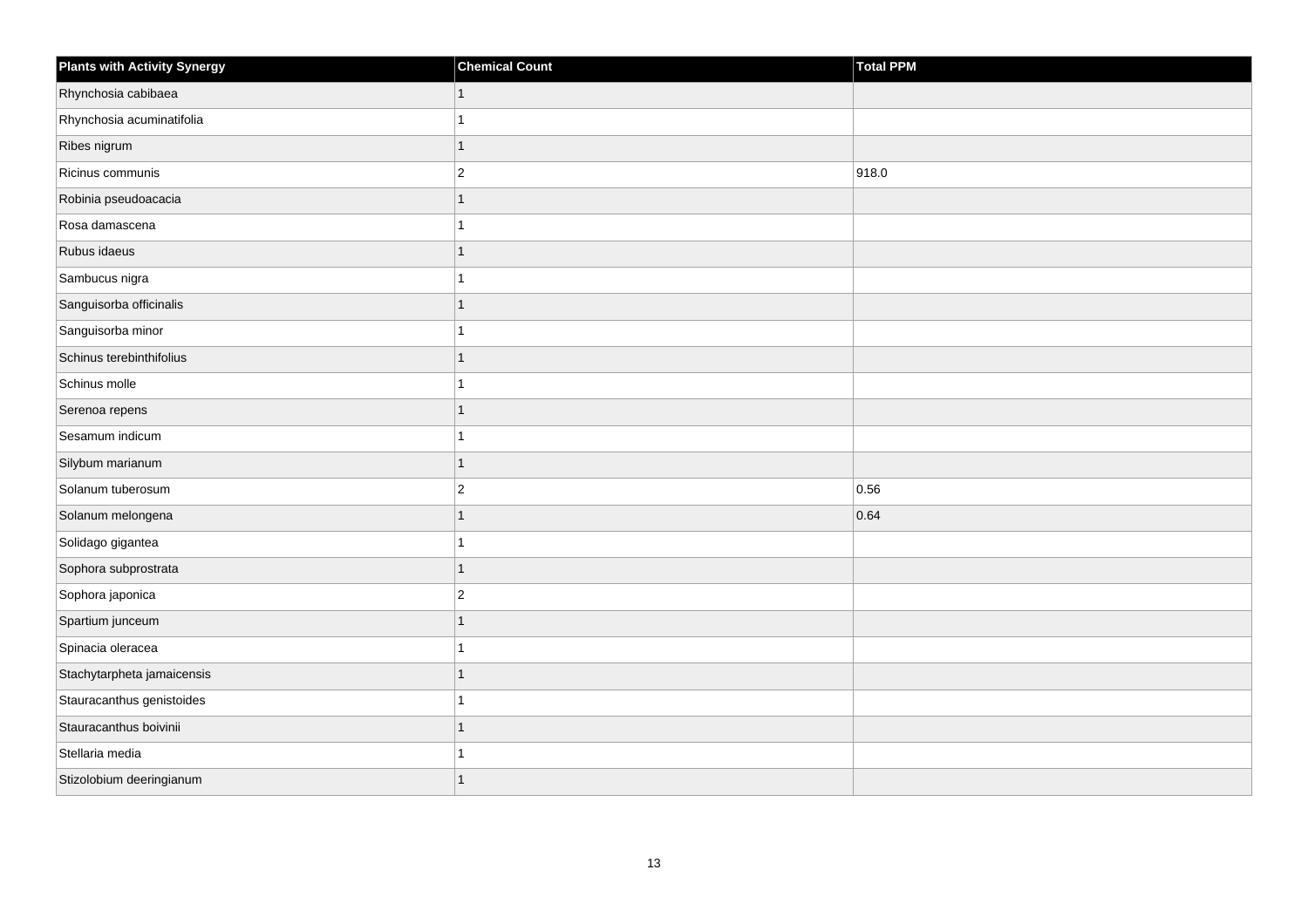| <b>Plants with Activity Synergy</b> | <b>Chemical Count</b> | Total PPM |
|-------------------------------------|-----------------------|-----------|
| Rhynchosia cabibaea                 | 1                     |           |
| Rhynchosia acuminatifolia           |                       |           |
| Ribes nigrum                        | $\mathbf{1}$          |           |
| Ricinus communis                    | $\overline{2}$        | 918.0     |
| Robinia pseudoacacia                | 1                     |           |
| Rosa damascena                      | 1                     |           |
| Rubus idaeus                        | 1                     |           |
| Sambucus nigra                      | 1                     |           |
| Sanguisorba officinalis             | 1                     |           |
| Sanguisorba minor                   | 1                     |           |
| Schinus terebinthifolius            | 1                     |           |
| Schinus molle                       | 1                     |           |
| Serenoa repens                      | 1                     |           |
| Sesamum indicum                     | 1                     |           |
| Silybum marianum                    | 1                     |           |
| Solanum tuberosum                   | $\vert$ 2             | 0.56      |
| Solanum melongena                   | 1                     | 0.64      |
| Solidago gigantea                   |                       |           |
| Sophora subprostrata                | 1                     |           |
| Sophora japonica                    | $\overline{2}$        |           |
| Spartium junceum                    | 1                     |           |
| Spinacia oleracea                   | 1                     |           |
| Stachytarpheta jamaicensis          | 1                     |           |
| Stauracanthus genistoides           |                       |           |
| Stauracanthus boivinii              | $\mathbf{1}$          |           |
| Stellaria media                     |                       |           |
| Stizolobium deeringianum            | 1                     |           |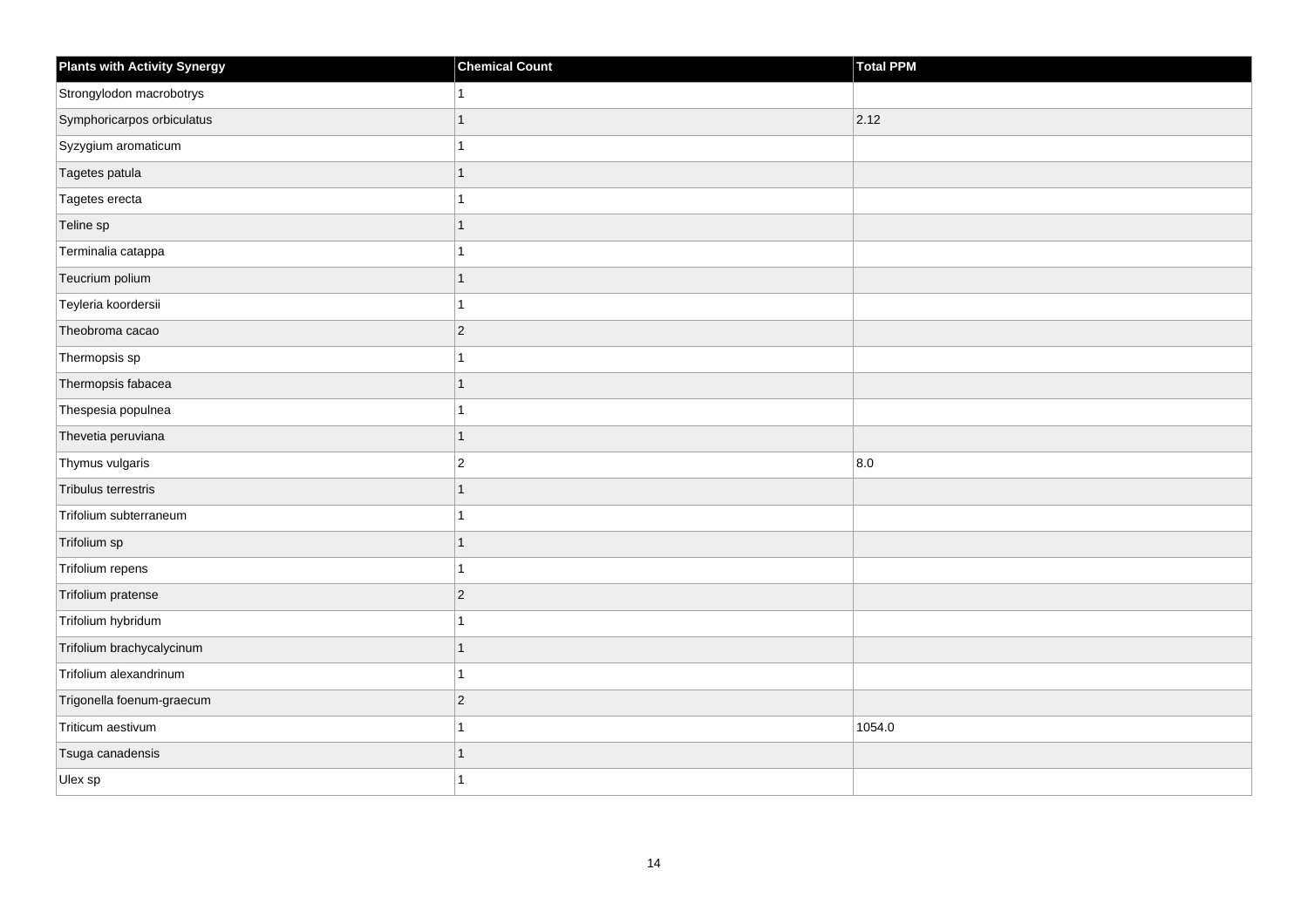| <b>Plants with Activity Synergy</b> | <b>Chemical Count</b> | Total PPM |
|-------------------------------------|-----------------------|-----------|
| Strongylodon macrobotrys            | 1                     |           |
| Symphoricarpos orbiculatus          | 1                     | 2.12      |
| Syzygium aromaticum                 | 1                     |           |
| Tagetes patula                      | 1                     |           |
| Tagetes erecta                      | 1                     |           |
| Teline sp                           | 1                     |           |
| Terminalia catappa                  | 1                     |           |
| Teucrium polium                     | 1                     |           |
| Teyleria koordersii                 | 1                     |           |
| Theobroma cacao                     | $\vert$ 2             |           |
| Thermopsis sp                       | 1                     |           |
| Thermopsis fabacea                  | 1                     |           |
| Thespesia populnea                  | 1                     |           |
| Thevetia peruviana                  | 1                     |           |
| Thymus vulgaris                     | $\overline{2}$        | 8.0       |
| Tribulus terrestris                 | 1                     |           |
| Trifolium subterraneum              | 1                     |           |
| Trifolium sp                        | 1                     |           |
| Trifolium repens                    | 1                     |           |
| Trifolium pratense                  | $ 2\rangle$           |           |
| Trifolium hybridum                  | 1                     |           |
| Trifolium brachycalycinum           | $\mathbf{1}$          |           |
| Trifolium alexandrinum              |                       |           |
| Trigonella foenum-graecum           | $ 2\rangle$           |           |
| Triticum aestivum                   | 1                     | 1054.0    |
| Tsuga canadensis                    |                       |           |
| Ulex sp                             | 1                     |           |